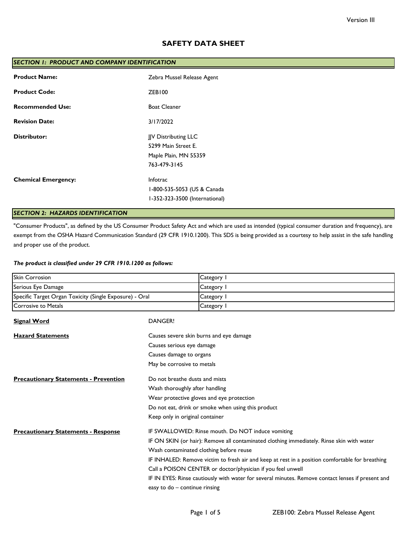# **SAFETY DATA SHEET**

| SECTION 1: PRODUCT AND COMPANY IDENTIFICATION |                                |  |
|-----------------------------------------------|--------------------------------|--|
| <b>Product Name:</b>                          | Zebra Mussel Release Agent     |  |
| <b>Product Code:</b>                          | ZEB100                         |  |
| <b>Recommended Use:</b>                       | <b>Boat Cleaner</b>            |  |
| <b>Revision Date:</b>                         | 3/17/2022                      |  |
| <b>Distributor:</b>                           | JJV Distributing LLC           |  |
|                                               | 5299 Main Street E.            |  |
|                                               | Maple Plain, MN 55359          |  |
|                                               | 763-479-3145                   |  |
| <b>Chemical Emergency:</b>                    | <b>Infotrac</b>                |  |
|                                               | 1-800-535-5053 (US & Canada    |  |
|                                               | I-352-323-3500 (International) |  |
|                                               |                                |  |

# *SECTION 2: HAZARDS IDENTIFICATION*

"Consumer Products", as defined by the US Consumer Product Safety Act and which are used as intended (typical consumer duration and frequency), are exempt from the OSHA Hazard Communication Standard (29 CFR 1910.1200). This SDS is being provided as a courtesy to help assist in the safe handling and proper use of the product.

## *The product is classified under 29 CFR 1910.1200 as follows:*

| <b>Skin Corrosion</b>                                   |                                                                                                   | Category I                                                  |
|---------------------------------------------------------|---------------------------------------------------------------------------------------------------|-------------------------------------------------------------|
| Serious Eye Damage                                      |                                                                                                   | Category I                                                  |
| Specific Target Organ Toxicity (Single Exposure) - Oral |                                                                                                   | Category I                                                  |
| <b>Corrosive to Metals</b>                              |                                                                                                   | Category 1                                                  |
| <b>Signal Word</b>                                      | <b>DANGER!</b>                                                                                    |                                                             |
| <b>Hazard Statements</b>                                |                                                                                                   | Causes severe skin burns and eye damage                     |
|                                                         | Causes serious eye damage                                                                         |                                                             |
|                                                         | Causes damage to organs                                                                           |                                                             |
|                                                         | May be corrosive to metals                                                                        |                                                             |
| <b>Precautionary Statements - Prevention</b>            | Do not breathe dusts and mists                                                                    |                                                             |
|                                                         | Wash thoroughly after handling                                                                    |                                                             |
|                                                         |                                                                                                   | Wear protective gloves and eye protection                   |
|                                                         | Do not eat, drink or smoke when using this product                                                |                                                             |
|                                                         | Keep only in original container                                                                   |                                                             |
| <b>Precautionary Statements - Response</b>              |                                                                                                   | IF SWALLOWED: Rinse mouth. Do NOT induce vomiting           |
|                                                         | IF ON SKIN (or hair): Remove all contaminated clothing immediately. Rinse skin with water         |                                                             |
|                                                         | Wash contaminated clothing before reuse                                                           |                                                             |
|                                                         | IF INHALED: Remove victim to fresh air and keep at rest in a position comfortable for breathing   |                                                             |
|                                                         |                                                                                                   | Call a POISON CENTER or doctor/physician if you feel unwell |
|                                                         | IF IN EYES: Rinse cautiously with water for several minutes. Remove contact lenses if present and |                                                             |
|                                                         | easy to do - continue rinsing                                                                     |                                                             |
|                                                         |                                                                                                   |                                                             |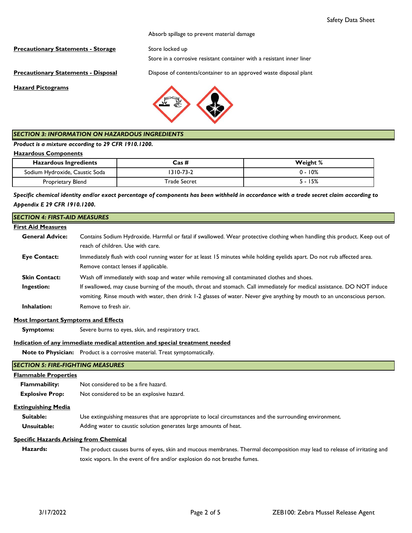#### Absorb spillage to prevent material damage

**Precautionary Statements - Storage** Store locked up

Store in a corrosive resistant container with a resistant inner liner

**Precautionary Statements - Disposal** Dispose of contents/container to an approved waste disposal plant

**Hazard Pictograms**



## *SECTION 3: INFORMATION ON HAZARDOUS INGREDIENTS*

*Product is a mixture according to 29 CFR 1910.1200.*

#### **Hazardous Components**

| <b>Hazardous Ingredients</b>   | Cas #        | Weight % |
|--------------------------------|--------------|----------|
| Sodium Hydroxide, Caustic Soda | 1310-73-2    | 0 - 10%  |
| Proprietary Blend              | Trade Secret | 5 - 15%  |

*Specific chemical identity and/or exact percentage of components has been withheld in accordance with a trade secret claim according to Appendix E 29 CFR 1910.1200.*

#### **First Aid Measures General Advice: Eye Contact: Skin Contact: Ingestion: Inhalation:** *SECTION 4: FIRST-AID MEASURES*  Contains Sodium Hydroxide. Harmful or fatal if swallowed. Wear protective clothing when handling this product. Keep out of reach of children. Use with care. If swallowed, may cause burning of the mouth, throat and stomach. Call immediately for medical assistance. DO NOT induce vomiting. Rinse mouth with water, then drink 1-2 glasses of water. Never give anything by mouth to an unconscious person. Remove to fresh air. Immediately flush with cool running water for at least 15 minutes while holding eyelids apart. Do not rub affected area. Remove contact lenses if applicable. Wash off immediately with soap and water while removing all contaminated clothes and shoes.

#### **Most Important Symptoms and Effects**

 **Symptoms:** Severe burns to eyes, skin, and respiratory tract.

#### **Indication of any immediate medical attention and special treatment needed**

**Note to Physician:** Product is a corrosive material. Treat symptomatically.

| <b>SECTION 5: FIRE-FIGHTING MEASURES</b>      |                                                                                                         |  |
|-----------------------------------------------|---------------------------------------------------------------------------------------------------------|--|
| <b>Flammable Properties</b>                   |                                                                                                         |  |
| <b>Flammability:</b>                          | Not considered to be a fire hazard.                                                                     |  |
| <b>Explosive Prop:</b>                        | Not considered to be an explosive hazard.                                                               |  |
| <b>Extinguishing Media</b>                    |                                                                                                         |  |
| Suitable:                                     | Use extinguishing measures that are appropriate to local circumstances and the surrounding environment. |  |
| Unsuitable:                                   | Adding water to caustic solution generates large amounts of heat.                                       |  |
| <b>Specific Hazards Arising from Chemical</b> |                                                                                                         |  |

 **Hazards:** The product causes burns of eyes, skin and mucous membranes. Thermal decomposition may lead to release of irritating and toxic vapors. In the event of fire and/or explosion do not breathe fumes.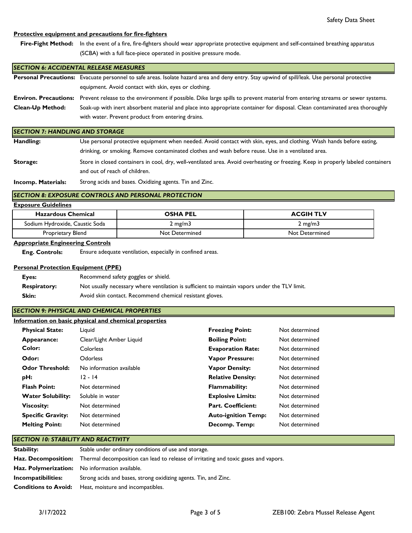## **Protective equipment and precautions for fire-fighters**

Fire-Fight Method: In the event of a fire, fire-fighters should wear appropriate protective equipment and self-contained breathing apparatus (SCBA) with a full face-piece operated in positive pressure mode.

#### *SECTION 6: ACCIDENTAL RELEASE MEASURES*

|                         | Personal Precautions: Evacuate personnel to safe areas. Isolate hazard area and deny entry. Stay upwind of spill/leak. Use personal protective      |
|-------------------------|-----------------------------------------------------------------------------------------------------------------------------------------------------|
|                         | equipment. Avoid contact with skin, eyes or clothing.                                                                                               |
|                         | Environ. Precautions: Prevent release to the environment if possible. Dike large spills to prevent material from entering streams or sewer systems. |
| <b>Clean-Up Method:</b> | Soak-up with inert absorbent material and place into appropriate container for disposal. Clean contaminated area thoroughly                         |
|                         | with water. Prevent product from entering drains.                                                                                                   |

#### *SECTION 7: HANDLING AND STORAGE*

| Handling: | Use personal protective equipment when needed. Avoid contact with skin, eyes, and clothing. Wash hands before eating,             |  |  |
|-----------|-----------------------------------------------------------------------------------------------------------------------------------|--|--|
|           | drinking, or smoking. Remove contaminated clothes and wash before reuse. Use in a ventilated area.                                |  |  |
| Storage:  | Store in closed containers in cool, dry, well-ventilated area. Avoid overheating or freezing. Keep in properly labeled containers |  |  |
|           | and out of reach of children.                                                                                                     |  |  |

**Incomp. Materials:** Strong acids and bases. Oxidizing agents. Tin and Zinc.

## *SECTION 8: EXPOSURE CONTROLS AND PERSONAL PROTECTION*

## **Exposure Guidelines**

| <b>Hazardous Chemical</b>      | <b>OSHA PEL</b>  | <b>ACGIH TLV</b> |
|--------------------------------|------------------|------------------|
| Sodium Hydroxide, Caustic Soda | $2 \text{ mg/m}$ | $2 \text{ mg/m}$ |
| Proprietary Blend              | Not Determined   | Not Determined   |

#### **Appropriate Engineering Controls**

 **Eng. Controls:** Ensure adequate ventilation, especially in confined areas.

#### **Personal Protection Equipment (PPE)**

| Eyes:               | Recommend safety goggles or shield.                                                           |
|---------------------|-----------------------------------------------------------------------------------------------|
| <b>Respiratory:</b> | Not usually necessary where ventilation is sufficient to maintain vapors under the TLV limit. |
| <b>Skin:</b>        | Avoid skin contact. Recommend chemical resistant gloves.                                      |

## *SECTION 9: PHYSICAL AND CHEMICAL PROPERTIES*

| Information on basic physical and chemical properties |  |  |
|-------------------------------------------------------|--|--|
|                                                       |  |  |

| <b>Physical State:</b>   | Liguid                   | <b>Freezing Point:</b>     | Not determined |
|--------------------------|--------------------------|----------------------------|----------------|
| Appearance:              | Clear/Light Amber Liquid | <b>Boiling Point:</b>      | Not determined |
| Color:                   | Colorless                | <b>Evaporation Rate:</b>   | Not determined |
| Odor:                    | <b>Odorless</b>          | <b>Vapor Pressure:</b>     | Not determined |
| <b>Odor Threshold:</b>   | No information available | <b>Vapor Density:</b>      | Not determined |
| pH:                      | $12 - 14$                | <b>Relative Density:</b>   | Not determined |
| <b>Flash Point:</b>      | Not determined           | <b>Flammability:</b>       | Not determined |
| <b>Water Solubility:</b> | Soluble in water         | <b>Explosive Limits:</b>   | Not determined |
| <b>Viscosity:</b>        | Not determined           | <b>Part. Coefficient:</b>  | Not determined |
| <b>Specific Gravity:</b> | Not determined           | <b>Auto-ignition Temp:</b> | Not determined |
| <b>Melting Point:</b>    | Not determined           | Decomp. Temp:              | Not determined |

## *SECTION 10: STABILITY AND REACTIVITY*

| Stability:                  | Stable under ordinary conditions of use and storage.                                                           |
|-----------------------------|----------------------------------------------------------------------------------------------------------------|
|                             | <b>Haz. Decomposition:</b> Thermal decomposition can lead to release of irritating and toxic gases and vapors. |
|                             | <b>Haz. Polymerization:</b> No information available.                                                          |
| Incompatibilities:          | Strong acids and bases, strong oxidizing agents. Tin, and Zinc.                                                |
| <b>Conditions to Avoid:</b> | Heat, moisture and incompatibles.                                                                              |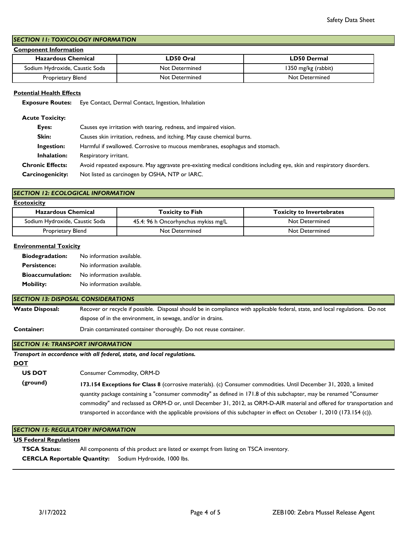## *SECTION 11: TOXICOLOGY INFORMATION*

## **Component Information**

| <b>Hazardous Chemical</b>      | LD50 Oral      | LD50 Dermal         |
|--------------------------------|----------------|---------------------|
| Sodium Hydroxide, Caustic Soda | Not Determined | 1350 mg/kg (rabbit) |
| Proprietary Blend              | Not Determined | Not Determined      |

## **Potential Health Effects**

 **Exposure Routes:** Eye Contact, Dermal Contact, Ingestion, Inhalation

## **Acute Toxicity:**

| Eyes:                   | Causes eye irritation with tearing, redness, and impaired vision.                                                     |
|-------------------------|-----------------------------------------------------------------------------------------------------------------------|
| Skin:                   | Causes skin irritation, redness, and itching. May cause chemical burns.                                               |
| Ingestion:              | Harmful if swallowed. Corrosive to mucous membranes, esophagus and stomach.                                           |
| Inhalation:             | Respiratory irritant.                                                                                                 |
| <b>Chronic Effects:</b> | Avoid repeated exposure. May aggravate pre-existing medical conditions including eye, skin and respiratory disorders. |
| <b>Carcinogenicity:</b> | Not listed as carcinogen by OSHA, NTP or IARC.                                                                        |

## *SECTION 12: ECOLOGICAL INFORMATION*

**Ecotoxicity**

| <b>Hazardous Chemical</b>      | Toxicity to Fish                    | <b>Toxicity to Invertebrates</b> |  |
|--------------------------------|-------------------------------------|----------------------------------|--|
| Sodium Hydroxide, Caustic Soda | 45.4: 96 h Oncorhynchus mykiss mg/L | Not Determined                   |  |
| Proprietary Blend              | Not Determined                      | Not Determined                   |  |

### **Environmental Toxicity**

| <b>Biodegradation:</b>  | No information available. |
|-------------------------|---------------------------|
| <b>Persistence:</b>     | No information available. |
| <b>Bioaccumulation:</b> | No information available. |
| <b>Mobility:</b>        | No information available. |

## *SECTION 13: DISPOSAL CONSIDERATIONS*

**Waste Disposal:** Recover or recycle if possible. Disposal should be in compliance with applicable federal, state, and local regulations. Do not dispose of in the environment, in sewage, and/or in drains.

**Container:** Drain contaminated container thoroughly. Do not reuse container.

## *SECTION 14: TRANSPORT INFORMATION*

*Transport in accordance with all federal, state, and local regulations.* 

#### **DOT**

 **US DOT** 

Consumer Commodity, ORM-D

 **(ground) 173.154 Exceptions for Class 8** (corrosive materials). (c) Consumer commodities. Until December 31, 2020, a limited quantity package containing a "consumer commodity" as defined in 171.8 of this subchapter, may be renamed "Consumer commodity" and reclassed as ORM-D or, until December 31, 2012, as ORM-D-AIR material and offered for transportation and transported in accordance with the applicable provisions of this subchapter in effect on October 1, 2010 (173.154 (c)).

## *SECTION 15: REGULATORY INFORMATION*

## **US Federal Regulations**

 **TSCA Status:** All components of this product are listed or exempt from listing on TSCA inventory.  **CERCLA Reportable Quantity:** Sodium Hydroxide, 1000 lbs.